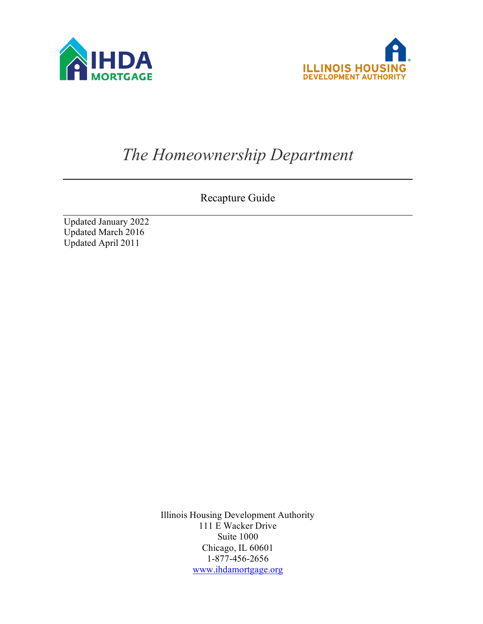



# *The Homeownership Department*

Recapture Guide

Updated January 2022 Updated March 2016 Updated April 2011

> Illinois Housing Development Authority 111 E Wacker Drive Suite 1000 Chicago, IL 60601 1-877-456-2656 [www.ihdamortgage.org](http://www.ihdamortgage.org/)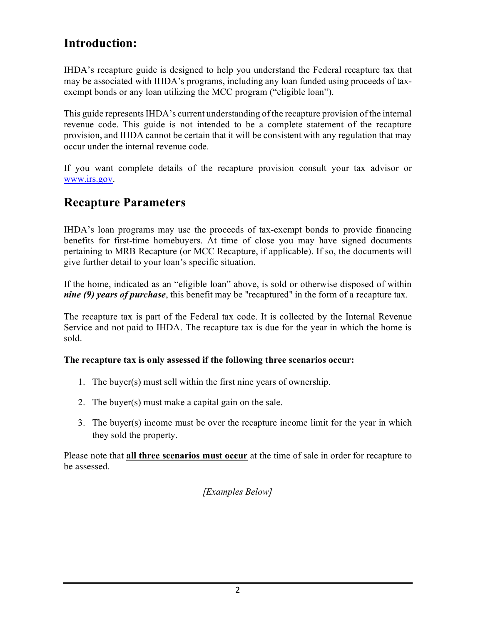# **Introduction:**

IHDA's recapture guide is designed to help you understand the Federal recapture tax that may be associated with IHDA's programs, including any loan funded using proceeds of taxexempt bonds or any loan utilizing the MCC program ("eligible loan").

This guide represents IHDA's current understanding of the recapture provision of the internal revenue code. This guide is not intended to be a complete statement of the recapture provision, and IHDA cannot be certain that it will be consistent with any regulation that may occur under the internal revenue code.

If you want complete details of the recapture provision consult your tax advisor or [www.irs.gov.](http://www.irs.gov/)

## **Recapture Parameters**

IHDA's loan programs may use the proceeds of tax-exempt bonds to provide financing benefits for first-time homebuyers. At time of close you may have signed documents pertaining to MRB Recapture (or MCC Recapture, if applicable). If so, the documents will give further detail to your loan's specific situation.

If the home, indicated as an "eligible loan" above, is sold or otherwise disposed of within *nine (9) years of purchase*, this benefit may be "recaptured" in the form of a recapture tax.

The recapture tax is part of the Federal tax code. It is collected by the Internal Revenue Service and not paid to IHDA. The recapture tax is due for the year in which the home is sold.

### **The recapture tax is only assessed if the following three scenarios occur:**

- 1. The buyer(s) must sell within the first nine years of ownership.
- 2. The buyer(s) must make a capital gain on the sale.
- 3. The buyer(s) income must be over the recapture income limit for the year in which they sold the property.

Please note that **all three scenarios must occur** at the time of sale in order for recapture to be assessed.

*[Examples Below]*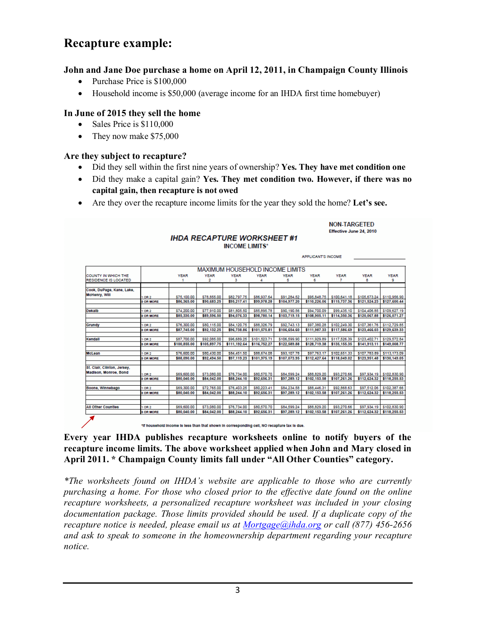### **Recapture example:**

#### **John and Jane Doe purchase a home on April 12, 2011, in Champaign County Illinois**

- Purchase Price is \$100,000
- Household income is \$50,000 (average income for an IHDA first time homebuyer)

#### **In June of 2015 they sell the home**

- Sales Price is \$110,000
- They now make \$75,000

#### **Are they subject to recapture?**

- Did they sell within the first nine years of ownership? **Yes. They have met condition one**
- Did they make a capital gain? **Yes. They met condition two. However, if there was no capital gain, then recapture is not owed**

**NON-TARGETED** Effective June 24, 2010

• Are they over the recapture income limits for the year they sold the home? **Let's see.** 

|                             |                  | <b>APPLICANT'S INCOME</b>              |              |              |              |              |              |              |                           |                          |
|-----------------------------|------------------|----------------------------------------|--------------|--------------|--------------|--------------|--------------|--------------|---------------------------|--------------------------|
|                             |                  |                                        |              |              |              |              |              |              |                           |                          |
|                             |                  | <b>MAXIMUM HOUSEHOLD INCOME LIMITS</b> |              |              |              |              |              |              |                           |                          |
| COUNTY IN WHICH THE         |                  | <b>YEAR</b>                            | <b>YEAR</b>  | <b>YEAR</b>  | <b>YEAR</b>  | <b>YEAR</b>  | <b>YEAR</b>  | <b>YEAR</b>  | <b>YEAR</b>               | <b>YEAR</b>              |
| <b>RESIDENCE IS LOCATED</b> |                  |                                        | 2            | з            | 4            | 5            | 6            | 7            | 8                         | 9                        |
| Cook, DuPage, Kane, Lake,   |                  |                                        |              |              |              |              |              |              |                           |                          |
| McHenry, Will               | OR2              | \$75,100.00                            | \$78,855.00  | \$82,797.75  | \$86,937.64  | \$91,284.52  | \$95,848.75  | \$100,641.18 | \$105,673.24 \$110,956.90 |                          |
|                             | <b>SOR MORE</b>  | \$86,365.00                            | \$90,683.25  | \$95,217.41  | \$99,978.28  | \$104,977.20 | \$110,226.06 | \$115,737.36 | \$121.524.23              | \$127,600.44             |
| Dekalb                      | OR <sub>2</sub>  | \$74,200.00                            | \$77,910.00  | \$81,805.50  | \$85,895.78  | \$90,190.56  | \$94,700.09  | \$99,435.10  | \$104,406.85              | \$109,627.19             |
|                             | 3 OR MORE        | \$85,330.00                            | \$89,596.50  | \$94,076.33  | \$98,780.14  | \$103,719.15 | \$108,905.11 | \$114,350.36 | \$120,067.88              | \$126,071.27             |
|                             |                  |                                        |              |              |              |              |              |              |                           |                          |
| Grundy                      | OR <sub>2</sub>  | \$76,300.00                            | \$80,115.00  | \$84,120.75  | \$88,326.79  | \$92,743.13  | \$97,380.28  | \$102,249.30 | \$107,361.76              | \$112,729.85             |
|                             | 3 OR MORE        | \$87,745.00                            | \$92,132.25  | \$96,738.86  | \$101,575.81 | \$106,654.60 | \$111,987.33 | \$117,586.69 | \$123,466.03              | \$129,639.33             |
| Kendall                     | OR <sub>2</sub>  | \$87,700.00                            | \$92,085.00  | \$96,689.25  | \$101,523.71 | \$106,599.90 | \$111,929.89 | \$117,526.39 | \$123,402.71              | \$129,572.84             |
|                             | <b>3 OR MORE</b> | \$100,855.00                           | \$105,897.75 | \$111,192.64 | \$116,752.27 | \$122,589.88 | \$128,719.38 | \$135,155,35 | \$141,913,11              | \$149,008.77             |
| McLean                      | OR <sub>2</sub>  | \$76,600.00                            | \$80,430.00  | \$84,451.50  | \$88,674.08  | \$93.107.78  | \$97.763.17  | \$102,651.33 | \$107.783.89              | \$113,173.09             |
|                             | 3 OR MORE        | \$88,090.00                            | \$92,494.50  | \$97,119.23  | \$101,975.19 | \$107.073.95 | \$112,427.64 | \$118,049.02 | \$123,951.48              | \$130,149.05             |
| St. Clair, Clinton, Jersey, |                  |                                        |              |              |              |              |              |              |                           |                          |
| Madison, Monroe, Bond       | OR <sub>2</sub>  | \$69,600.00                            | \$73,080.00  | \$76,734.00  | \$80,570.70  | \$84,599.24  | \$88,829.20  | \$93,270.66  |                           | \$97,934.19 \$102,830.90 |
|                             | 3 OR MORE        | \$80,040.00                            | \$84,042.00  | \$88,244.10  | \$92,656.31  | \$97,289.12  | \$102,153,58 | \$107,261.26 | \$112,624.32              | \$118,255.53             |
| Boone, Winnebago            | OR <sub>2</sub>  | \$69,300.00                            | \$72,765.00  | \$76,403.25  | \$80,223.41  | \$84,234.58  | \$88,446.31  | \$92,868.63  | \$97,512.06               | \$102,387.66             |
|                             | <b>SOR MORE</b>  | \$80,040.00                            | \$84,042.00  | \$88,244.10  | \$92,656.31  | \$97,289.12  | \$102,153,58 | \$107.261.26 | \$112,624.32              | \$118,255.53             |
|                             |                  |                                        |              |              |              |              |              |              |                           |                          |
| <b>All Other Counties</b>   | OR <sub>2</sub>  | \$69,600.00                            | \$73,080.00  | \$76,734.00  | \$80,570.70  | \$84,599.24  | \$88,829.20  | \$93,270.66  |                           | \$97,934.19 \$102,830.90 |
|                             | 3 OR MORE        | \$80,040.00                            | \$84,042.00  | \$88,244.10  | \$92,656.31  | \$97,289.12  | \$102,153.58 | \$107,261.26 | \$112,624.32              | \$118,255.53             |

**IHDA RECAPTURE WORKSHEET #1 INCOME LIMITS\*** 

\*If household income is less than that shown in corresponding cell, NO recapture tax is due.

#### **Every year IHDA publishes recapture worksheets online to notify buyers of the recapture income limits. The above worksheet applied when John and Mary closed in April 2011. \* Champaign County limits fall under "All Other Counties" category.**

*\*The worksheets found on IHDA's website are applicable to those who are currently purchasing a home. For those who closed prior to the effective date found on the online recapture worksheets, a personalized recapture worksheet was included in your closing documentation package. Those limits provided should be used. If a duplicate copy of the recapture notice is needed, please email us at [Mortgage@ihda.org](mailto:Mortgage@ihda.org) or call (877) 456-2656 and ask to speak to someone in the homeownership department regarding your recapture notice.*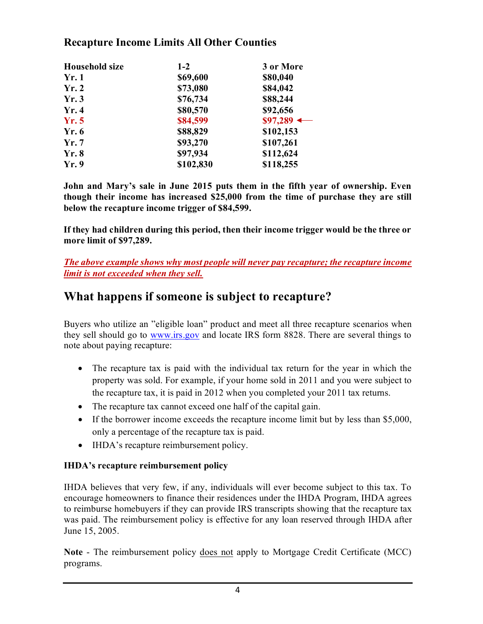### **Recapture Income Limits All Other Counties**

| <b>Household size</b> | $1-2$     | 3 or More              |
|-----------------------|-----------|------------------------|
| Yr.1                  | \$69,600  | \$80,040               |
| Yr.2                  | \$73,080  | \$84,042               |
| Yr.3                  | \$76,734  | \$88,244               |
| Yr.4                  | \$80,570  | \$92,656               |
| Yr.5                  | \$84,599  | $$97,289$ $\leftarrow$ |
| Yr.6                  | \$88,829  | \$102,153              |
| Yr.7                  | \$93,270  | \$107,261              |
| Yr.8                  | \$97,934  | \$112,624              |
| Yr.9                  | \$102,830 | \$118,255              |

**John and Mary's sale in June 2015 puts them in the fifth year of ownership. Even though their income has increased \$25,000 from the time of purchase they are still below the recapture income trigger of \$84,599.**

**If they had children during this period, then their income trigger would be the three or more limit of \$97,289.**

*The above example shows why most people will never pay recapture; the recapture income limit is not exceeded when they sell.*

### **What happens if someone is subject to recapture?**

Buyers who utilize an "eligible loan" product and meet all three recapture scenarios when they sell should go to [www.irs.gov](http://www.irs.gov/) and locate IRS form 8828. There are several things to note about paying recapture:

- The recapture tax is paid with the individual tax return for the year in which the property was sold. For example, if your home sold in 2011 and you were subject to the recapture tax, it is paid in 2012 when you completed your 2011 tax returns.
- The recapture tax cannot exceed one half of the capital gain.
- If the borrower income exceeds the recapture income limit but by less than \$5,000, only a percentage of the recapture tax is paid.
- IHDA's recapture reimbursement policy.

### **IHDA's recapture reimbursement policy**

IHDA believes that very few, if any, individuals will ever become subject to this tax. To encourage homeowners to finance their residences under the IHDA Program, IHDA agrees to reimburse homebuyers if they can provide IRS transcripts showing that the recapture tax was paid. The reimbursement policy is effective for any loan reserved through IHDA after June 15, 2005.

**Note** - The reimbursement policy does not apply to Mortgage Credit Certificate (MCC) programs.